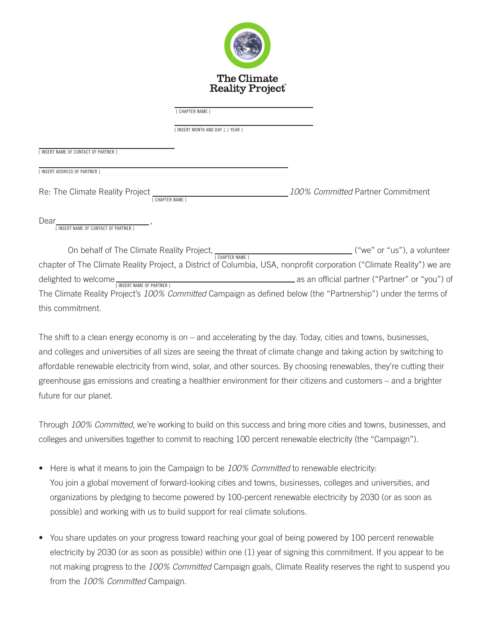

[ CHAPTER NAME ]

[ INSERT MONTH AND DAY ], [ YEAR ]

[ INSERT NAME OF CONTACT OF PARTNER ]

[ INSERT ADDRESS OF PARTNER ]

[ CHAPTER NAME ] Re: The Climate Reality Project *100% Committed* Partner Commitment

Dear ,

[ INSERT NAME OF CONTACT OF PARTNER ]

On behalf of The Climate Reality Project, <sub>[CHAPTER NAME]</sub> ("we" or "us"), a volunteer chapter of The Climate Reality Project, a District of Columbia, USA, nonprofit corporation ("Climate Reality") we are delighted to welcome as an official partner ("Partner" or "you") of The Climate Reality Project's 100% Committed Campaign as defined below (the "Partnership") under the terms of this commitment. delighted to welcome<sub>[INSERT NAME OF PARTNER]</sub>

The shift to a clean energy economy is on – and accelerating by the day. Today, cities and towns, businesses, and colleges and universities of all sizes are seeing the threat of climate change and taking action by switching to affordable renewable electricity from wind, solar, and other sources. By choosing renewables, they're cutting their greenhouse gas emissions and creating a healthier environment for their citizens and customers – and a brighter future for our planet.

Through *100% Committed*, we're working to build on this success and bring more cities and towns, businesses, and colleges and universities together to commit to reaching 100 percent renewable electricity (the "Campaign").

- Here is what it means to join the Campaign to be *100% Committed* to renewable electricity: You join a global movement of forward-looking cities and towns, businesses, colleges and universities, and organizations by pledging to become powered by 100-percent renewable electricity by 2030 (or as soon as possible) and working with us to build support for real climate solutions.
- You share updates on your progress toward reaching your goal of being powered by 100 percent renewable electricity by 2030 (or as soon as possible) within one (1) year of signing this commitment. If you appear to be not making progress to the *100% Committed* Campaign goals, Climate Reality reserves the right to suspend you from the *100% Committed* Campaign.